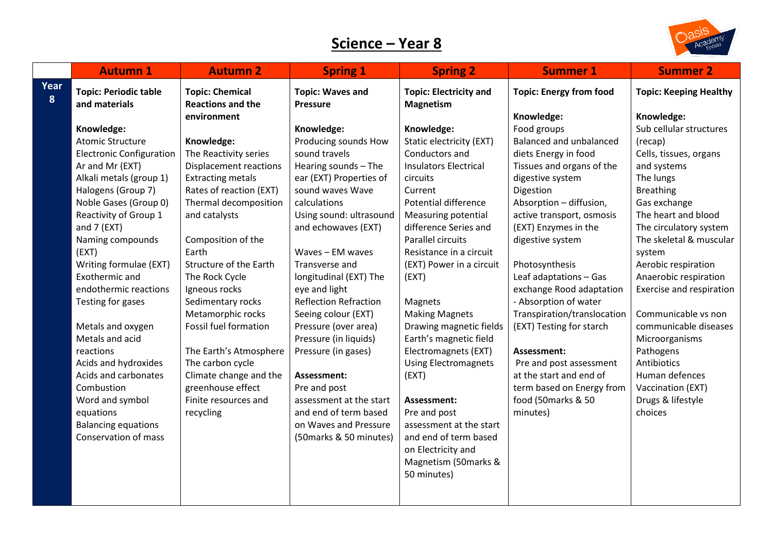## **Science – Year 8**



|           | <b>Autumn 1</b>                               | <b>Autumn 2</b>                                    | <b>Spring 1</b>                            | <b>Spring 2</b>                                   | <b>Summer 1</b>                | <b>Summer 2</b>               |
|-----------|-----------------------------------------------|----------------------------------------------------|--------------------------------------------|---------------------------------------------------|--------------------------------|-------------------------------|
| Year<br>8 | <b>Topic: Periodic table</b><br>and materials | <b>Topic: Chemical</b><br><b>Reactions and the</b> | <b>Topic: Waves and</b><br><b>Pressure</b> | <b>Topic: Electricity and</b><br><b>Magnetism</b> | <b>Topic: Energy from food</b> | <b>Topic: Keeping Healthy</b> |
|           |                                               | environment                                        |                                            |                                                   | Knowledge:                     | Knowledge:                    |
|           | Knowledge:                                    |                                                    | Knowledge:                                 | Knowledge:                                        | Food groups                    | Sub cellular structures       |
|           | <b>Atomic Structure</b>                       | Knowledge:                                         | Producing sounds How                       | Static electricity (EXT)                          | <b>Balanced and unbalanced</b> | (recap)                       |
|           | <b>Electronic Configuration</b>               | The Reactivity series                              | sound travels                              | Conductors and                                    | diets Energy in food           | Cells, tissues, organs        |
|           | Ar and Mr (EXT)                               | <b>Displacement reactions</b>                      | Hearing sounds - The                       | <b>Insulators Electrical</b>                      | Tissues and organs of the      | and systems                   |
|           | Alkali metals (group 1)                       | <b>Extracting metals</b>                           | ear (EXT) Properties of                    | circuits                                          | digestive system               | The lungs                     |
|           | Halogens (Group 7)                            | Rates of reaction (EXT)                            | sound waves Wave                           | Current                                           | Digestion                      | <b>Breathing</b>              |
|           | Noble Gases (Group 0)                         | Thermal decomposition                              | calculations                               | Potential difference                              | Absorption - diffusion,        | Gas exchange                  |
|           | Reactivity of Group 1                         | and catalysts                                      | Using sound: ultrasound                    | Measuring potential                               | active transport, osmosis      | The heart and blood           |
|           | and 7 (EXT)                                   |                                                    | and echowaves (EXT)                        | difference Series and                             | (EXT) Enzymes in the           | The circulatory system        |
|           | Naming compounds                              | Composition of the                                 |                                            | Parallel circuits                                 | digestive system               | The skeletal & muscular       |
|           | (EXT)                                         | Earth                                              | Waves - EM waves                           | Resistance in a circuit                           |                                | system                        |
|           | Writing formulae (EXT)                        | Structure of the Earth                             | Transverse and                             | (EXT) Power in a circuit                          | Photosynthesis                 | Aerobic respiration           |
|           | Exothermic and                                | The Rock Cycle                                     | longitudinal (EXT) The                     | (EXT)                                             | Leaf adaptations - Gas         | Anaerobic respiration         |
|           | endothermic reactions                         | Igneous rocks                                      | eye and light                              |                                                   | exchange Rood adaptation       | Exercise and respiration      |
|           | Testing for gases                             | Sedimentary rocks                                  | <b>Reflection Refraction</b>               | Magnets                                           | - Absorption of water          |                               |
|           |                                               | Metamorphic rocks                                  | Seeing colour (EXT)                        | <b>Making Magnets</b>                             | Transpiration/translocation    | Communicable vs non           |
|           | Metals and oxygen                             | Fossil fuel formation                              | Pressure (over area)                       | Drawing magnetic fields                           | (EXT) Testing for starch       | communicable diseases         |
|           | Metals and acid                               |                                                    | Pressure (in liquids)                      | Earth's magnetic field                            |                                | Microorganisms                |
|           | reactions                                     | The Earth's Atmosphere                             | Pressure (in gases)                        | Electromagnets (EXT)                              | Assessment:                    | Pathogens                     |
|           | Acids and hydroxides                          | The carbon cycle                                   |                                            | <b>Using Electromagnets</b>                       | Pre and post assessment        | Antibiotics                   |
|           | Acids and carbonates                          | Climate change and the                             | Assessment:                                | (EXT)                                             | at the start and end of        | Human defences                |
|           | Combustion                                    | greenhouse effect                                  | Pre and post                               |                                                   | term based on Energy from      | Vaccination (EXT)             |
|           | Word and symbol                               | Finite resources and                               | assessment at the start                    | Assessment:                                       | food (50marks & 50             | Drugs & lifestyle             |
|           | equations                                     | recycling                                          | and end of term based                      | Pre and post                                      | minutes)                       | choices                       |
|           | <b>Balancing equations</b>                    |                                                    | on Waves and Pressure                      | assessment at the start                           |                                |                               |
|           | Conservation of mass                          |                                                    | (50 marks & 50 minutes)                    | and end of term based                             |                                |                               |
|           |                                               |                                                    |                                            | on Electricity and                                |                                |                               |
|           |                                               |                                                    |                                            | Magnetism (50marks &                              |                                |                               |
|           |                                               |                                                    |                                            | 50 minutes)                                       |                                |                               |
|           |                                               |                                                    |                                            |                                                   |                                |                               |
|           |                                               |                                                    |                                            |                                                   |                                |                               |